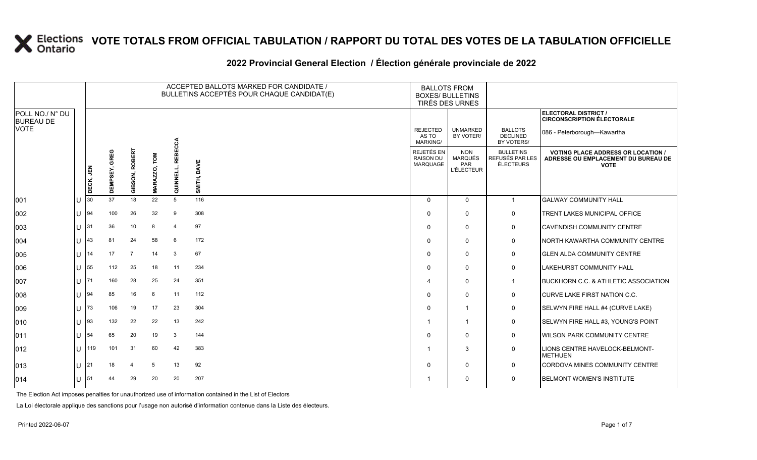#### **2022 Provincial General Election / Élection générale provinciale de 2022**

|                                     |            | ACCEPTED BALLOTS MARKED FOR CANDIDATE /<br><b>BALLOTS FROM</b><br>BULLETINS ACCEPTÉS POUR CHAQUE CANDIDAT(E)<br><b>BOXES/ BULLETINS</b><br>TIRÉS DES URNES |                  |                         |                     |                             |             |                                             |                                                          |                                                  |                                                                                                 |
|-------------------------------------|------------|------------------------------------------------------------------------------------------------------------------------------------------------------------|------------------|-------------------------|---------------------|-----------------------------|-------------|---------------------------------------------|----------------------------------------------------------|--------------------------------------------------|-------------------------------------------------------------------------------------------------|
| POLL NO./ N° DU<br><b>BUREAU DE</b> |            |                                                                                                                                                            |                  |                         |                     |                             |             |                                             |                                                          |                                                  | ELECTORAL DISTRICT /<br><b>CIRCONSCRIPTION ÉLECTORALE</b>                                       |
| VOTE                                |            |                                                                                                                                                            |                  |                         |                     |                             |             | <b>REJECTED</b><br>AS TO<br><b>MARKING/</b> | <b>UNMARKED</b><br>BY VOTER/                             | <b>BALLOTS</b><br><b>DECLINED</b><br>BY VOTERS/  | 086 - Peterborough-Kawartha                                                                     |
|                                     |            | DECK, JEN                                                                                                                                                  | GREG<br>DEMPSEY, | 덞<br>m<br>RO<br>GIBSON, | ΣΩ<br><b>MARAZZ</b> | <b>REBECCA</b><br>QUINNELL, | SMITH, DAVE | REJETÉS EN<br><b>RAISON DU</b><br>MARQUAGE  | <b>NON</b><br><b>MARQUÉS</b><br>PAR<br><b>L'ÉLECTEUR</b> | <b>BULLETINS</b><br>REFUSÉS PAR LES<br>ÉLECTEURS | <b>VOTING PLACE ADDRESS OR LOCATION /</b><br>ADRESSE OU EMPLACEMENT DU BUREAU DE<br><b>VOTE</b> |
| 001                                 |            | 30                                                                                                                                                         | 37               | 18                      | 22                  | 5                           | 116         | $\Omega$                                    | $\mathbf{0}$                                             | $\mathbf{1}$                                     | <b>GALWAY COMMUNITY HALL</b>                                                                    |
| 002                                 |            | 94                                                                                                                                                         | 100              | 26                      | 32                  | 9                           | 308         | $\Omega$                                    | $\mathbf{0}$                                             | 0                                                | TRENT LAKES MUNICIPAL OFFICE                                                                    |
| 003                                 |            | 31                                                                                                                                                         | 36               | 10                      | 8                   | $\overline{4}$              | 97          | $\Omega$                                    | $\mathbf{0}$                                             | 0                                                | <b>CAVENDISH COMMUNITY CENTRE</b>                                                               |
| 004                                 | U          | 43                                                                                                                                                         | 81               | 24                      | 58                  | 6                           | 172         | $\Omega$                                    | $\Omega$                                                 | 0                                                | <b>NORTH KAWARTHA COMMUNITY CENTRE</b>                                                          |
| 005                                 |            | 14                                                                                                                                                         | 17               | $\overline{7}$          | 14                  | 3                           | 67          | $\Omega$                                    | 0                                                        | 0                                                | <b>GLEN ALDA COMMUNITY CENTRE</b>                                                               |
| 006                                 |            | 55                                                                                                                                                         | 112              | 25                      | 18                  | 11                          | 234         | $\Omega$                                    | $\mathbf{0}$                                             | $\mathbf 0$                                      | <b>LAKEHURST COMMUNITY HALL</b>                                                                 |
| 007                                 | $\cup$ 171 |                                                                                                                                                            | 160              | 28                      | 25                  | 24                          | 351         | 4                                           | $\mathbf{0}$                                             | $\mathbf 1$                                      | <b>BUCKHORN C.C. &amp; ATHLETIC ASSOCIATION</b>                                                 |
| 008                                 |            | 94                                                                                                                                                         | 85               | 16                      | 6                   | 11                          | 112         | $\Omega$                                    | $\Omega$                                                 | 0                                                | <b>CURVE LAKE FIRST NATION C.C.</b>                                                             |
| 009                                 |            | 73                                                                                                                                                         | 106              | 19                      | 17                  | 23                          | 304         | $\Omega$                                    | $\mathbf{1}$                                             | $\mathbf 0$                                      | SELWYN FIRE HALL #4 (CURVE LAKE)                                                                |
| 010                                 |            | 93                                                                                                                                                         | 132              | 22                      | 22                  | 13                          | 242         |                                             | $\overline{1}$                                           | 0                                                | SELWYN FIRE HALL #3, YOUNG'S POINT                                                              |
| 011                                 | U          | 54                                                                                                                                                         | 65               | 20                      | 19                  | 3                           | 144         | $\Omega$                                    | $\mathbf{0}$                                             | $\mathbf 0$                                      | <b>WILSON PARK COMMUNITY CENTRE</b>                                                             |
| 012                                 | U          | 119                                                                                                                                                        | 101              | 31                      | 60                  | 42                          | 383         | -1                                          | 3                                                        | 0                                                | LIONS CENTRE HAVELOCK-BELMONT-<br><b>METHUEN</b>                                                |
| 013                                 | U          | 21                                                                                                                                                         | 18               | $\overline{4}$          | 5                   | 13                          | 92          | $\Omega$                                    | $\mathbf{0}$                                             | 0                                                | CORDOVA MINES COMMUNITY CENTRE                                                                  |
| 014                                 |            | 51                                                                                                                                                         | 44               | 29                      | 20                  | 20                          | 207         |                                             | $\Omega$                                                 | 0                                                | <b>BELMONT WOMEN'S INSTITUTE</b>                                                                |

The Election Act imposes penalties for unauthorized use of information contained in the List of Electors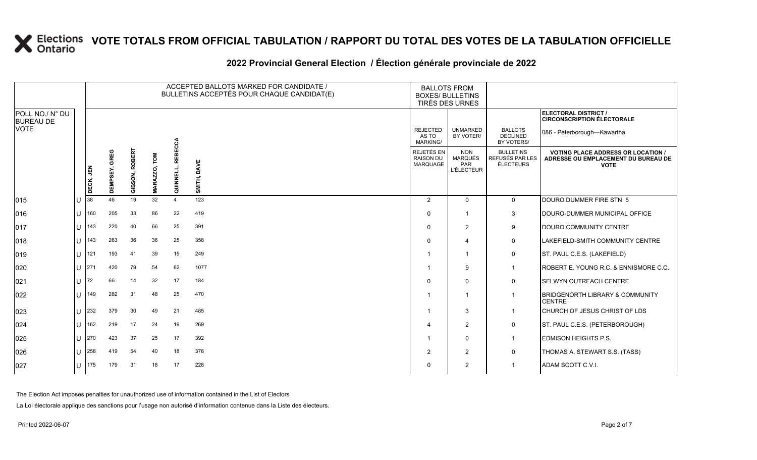#### **2022 Provincial General Election / Élection générale provinciale de 2022**

|                                     |    |           | ACCEPTED BALLOTS MARKED FOR CANDIDATE /<br><b>BALLOTS FROM</b><br>BULLETINS ACCEPTÉS POUR CHAQUE CANDIDAT(E)<br><b>BOXES/ BULLETINS</b><br>TIRÉS DES URNES |                          |                    |                          |                |                                             |                                                   |                                                         |                                                                                                 |
|-------------------------------------|----|-----------|------------------------------------------------------------------------------------------------------------------------------------------------------------|--------------------------|--------------------|--------------------------|----------------|---------------------------------------------|---------------------------------------------------|---------------------------------------------------------|-------------------------------------------------------------------------------------------------|
| POLL NO./ N° DU<br><b>BUREAU DE</b> |    |           |                                                                                                                                                            |                          |                    |                          |                |                                             |                                                   |                                                         | ELECTORAL DISTRICT /<br><b>CIRCONSCRIPTION ÉLECTORALE</b>                                       |
| <b>VOTE</b>                         |    |           |                                                                                                                                                            |                          |                    |                          |                | <b>REJECTED</b><br>AS TO<br><b>MARKING/</b> | <b>UNMARKED</b><br>BY VOTER/                      | <b>BALLOTS</b><br><b>DECLINED</b><br>BY VOTERS/         | 086 - Peterborough-Kawartha                                                                     |
|                                     |    | DECK, JEN | GREG<br><b>DEMPSEY,</b>                                                                                                                                    | <b>ROBERT</b><br>GIBSON, | LOW<br><b>MARA</b> | <b>REBECCA</b><br>QUINNE | DAVE<br>SMITH, | REJETÉS EN<br><b>RAISON DU</b><br>MARQUAGE  | <b>NON</b><br>MARQUÉS<br>PAR<br><b>L'ÉLECTEUR</b> | <b>BULLETINS</b><br>REFUSÉS PAR LES<br><b>ÉLECTEURS</b> | <b>VOTING PLACE ADDRESS OR LOCATION /</b><br>ADRESSE OU EMPLACEMENT DU BUREAU DE<br><b>VOTE</b> |
| 015                                 | U  | 38        | 46                                                                                                                                                         | 19                       | 32                 | $\overline{4}$           | 123            | $\overline{2}$                              | $\mathbf{0}$                                      | 0                                                       | DOURO DUMMER FIRE STN. 5                                                                        |
| 016                                 | ΠT | 160       | 205                                                                                                                                                        | 33                       | 86                 | 22                       | 419            | $\Omega$                                    |                                                   | 3                                                       | DOURO-DUMMER MUNICIPAL OFFICE                                                                   |
| 017                                 | U  | 143       | 220                                                                                                                                                        | 40                       | 66                 | 25                       | 391            | $\Omega$                                    | 2                                                 | 9                                                       | <b>DOURO COMMUNITY CENTRE</b>                                                                   |
| 018                                 |    | $1J$ 143  | 263                                                                                                                                                        | 36                       | 36                 | 25                       | 358            | $\Omega$                                    | 4                                                 | 0                                                       | LAKEFIELD-SMITH COMMUNITY CENTRE                                                                |
| 019                                 | U  | 121       | 193                                                                                                                                                        | 41                       | 39                 | 15                       | 249            |                                             |                                                   | 0                                                       | ST. PAUL C.E.S. (LAKEFIELD)                                                                     |
| 020                                 | lU | 1271      | 420                                                                                                                                                        | 79                       | 54                 | 62                       | 1077           |                                             | 9                                                 | $\mathbf 1$                                             | ROBERT E. YOUNG R.C. & ENNISMORE C.C.                                                           |
| 021                                 | lu | <b>72</b> | 66                                                                                                                                                         | 14                       | 32                 | 17                       | 184            | $\Omega$                                    | $\mathbf{0}$                                      | 0                                                       | <b>SELWYN OUTREACH CENTRE</b>                                                                   |
| 022                                 | U  | 149       | 282                                                                                                                                                        | 31                       | 48                 | 25                       | 470            |                                             |                                                   | -1                                                      | <b>BRIDGENORTH LIBRARY &amp; COMMUNITY</b><br><b>CENTRE</b>                                     |
| 023                                 | U  | 232       | 379                                                                                                                                                        | 30                       | 49                 | 21                       | 485            |                                             | 3                                                 | $\mathbf 1$                                             | CHURCH OF JESUS CHRIST OF LDS                                                                   |
| 024                                 | U  | 162       | 219                                                                                                                                                        | 17                       | 24                 | 19                       | 269            | Δ                                           | 2                                                 | 0                                                       | ST. PAUL C.E.S. (PETERBOROUGH)                                                                  |
| 025                                 | U  | 270       | 423                                                                                                                                                        | 37                       | 25                 | 17                       | 392            |                                             | $\mathbf 0$                                       | $\mathbf 1$                                             | <b>EDMISON HEIGHTS P.S.</b>                                                                     |
| 026                                 | U  | 258       | 419                                                                                                                                                        | 54                       | 40                 | 18                       | 378            | 2                                           | 2                                                 | 0                                                       | THOMAS A. STEWART S.S. (TASS)                                                                   |
| 027                                 |    | $ U $ 175 | 179                                                                                                                                                        | 31                       | 18                 | 17                       | 228            | 0                                           | $\overline{2}$                                    |                                                         | ADAM SCOTT C.V.I.                                                                               |

The Election Act imposes penalties for unauthorized use of information contained in the List of Electors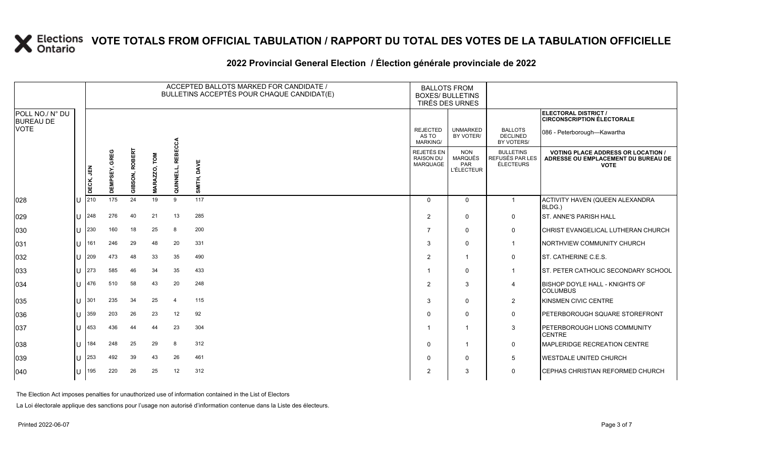#### **2022 Provincial General Election / Élection générale provinciale de 2022**

|                                     |     |           |                  |                       |                 |                            | ACCEPTED BALLOTS MARKED FOR CANDIDATE /<br>BULLETINS ACCEPTÉS POUR CHAQUE CANDIDAT(E) | <b>BALLOTS FROM</b><br><b>BOXES/ BULLETINS</b><br><b>TIRÉS DES URNES</b> |                                                          |                                                         |                                                                                                 |
|-------------------------------------|-----|-----------|------------------|-----------------------|-----------------|----------------------------|---------------------------------------------------------------------------------------|--------------------------------------------------------------------------|----------------------------------------------------------|---------------------------------------------------------|-------------------------------------------------------------------------------------------------|
| POLL NO./ N° DU<br><b>BUREAU DE</b> |     |           |                  |                       |                 |                            |                                                                                       |                                                                          |                                                          |                                                         | ELECTORAL DISTRICT /<br><b>CIRCONSCRIPTION ÉLECTORALE</b>                                       |
| <b>VOTE</b>                         |     |           |                  |                       |                 |                            |                                                                                       | <b>REJECTED</b><br>AS TO<br><b>MARKING/</b>                              | <b>UNMARKED</b><br>BY VOTER/                             | <b>BALLOTS</b><br><b>DECLINED</b><br>BY VOTERS/         | 086 - Peterborough-Kawartha                                                                     |
|                                     |     | DECK, JEN | GREG<br>DEMPSEY, | <b>GIBSON, ROBERT</b> | LOW<br>MARAZZO, | <b>REBECCA</b><br>QUINNELL | DAVE<br>SMITH,                                                                        | REJETÉS EN<br><b>RAISON DU</b><br>MARQUAGE                               | <b>NON</b><br><b>MARQUÉS</b><br>PAR<br><b>L'ÉLECTEUR</b> | <b>BULLETINS</b><br>REFUSÉS PAR LES<br><b>ÉLECTEURS</b> | <b>VOTING PLACE ADDRESS OR LOCATION /</b><br>ADRESSE OU EMPLACEMENT DU BUREAU DE<br><b>VOTE</b> |
| 028                                 | ΙU  | 210       | 175              | 24                    | 19              | 9                          | 117                                                                                   | $\Omega$                                                                 | $\Omega$                                                 | $\mathbf{1}$                                            | ACTIVITY HAVEN (QUEEN ALEXANDRA<br>BLDG.)                                                       |
| 029                                 | lu. | 248       | 276              | 40                    | 21              | 13                         | 285                                                                                   | 2                                                                        | $\mathbf{0}$                                             | $\mathbf 0$                                             | <b>ST. ANNE'S PARISH HALL</b>                                                                   |
| 030                                 | lu  | 230       | 160              | 18                    | 25              | 8                          | 200                                                                                   | $\overline{7}$                                                           | $\Omega$                                                 | $\mathbf 0$                                             | CHRIST EVANGELICAL LUTHERAN CHURCH                                                              |
| 031                                 | lu  | 161       | 246              | 29                    | 48              | 20                         | 331                                                                                   | 3                                                                        | $\Omega$                                                 | $\mathbf 1$                                             | NORTHVIEW COMMUNITY CHURCH                                                                      |
| 032                                 | IП  | 209       | 473              | 48                    | 33              | 35                         | 490                                                                                   | 2                                                                        | -1                                                       | $\mathbf 0$                                             | ST. CATHERINE C.E.S.                                                                            |
| 033                                 | ΙU  | 273       | 585              | 46                    | 34              | 35                         | 433                                                                                   |                                                                          | $\Omega$                                                 | $\mathbf{1}$                                            | ST. PETER CATHOLIC SECONDARY SCHOOL                                                             |
| 034                                 | lθ  | 476       | 510              | 58                    | 43              | 20                         | 248                                                                                   | 2                                                                        | 3                                                        | $\overline{4}$                                          | <b>BISHOP DOYLE HALL - KNIGHTS OF</b><br><b>COLUMBUS</b>                                        |
| 035                                 | lU  | 301       | 235              | 34                    | 25              | $\overline{4}$             | 115                                                                                   | 3                                                                        | $\Omega$                                                 | 2                                                       | KINSMEN CIVIC CENTRE                                                                            |
| 036                                 | lU  | 359       | 203              | 26                    | 23              | 12                         | 92                                                                                    | $\mathbf 0$                                                              | $\Omega$                                                 | $\mathbf 0$                                             | PETERBOROUGH SQUARE STOREFRONT                                                                  |
| 037                                 | lu  | 453       | 436              | 44                    | 44              | 23                         | 304                                                                                   |                                                                          |                                                          | 3                                                       | PETERBOROUGH LIONS COMMUNITY<br>CENTRE                                                          |
| 038                                 | lθ  | 184       | 248              | 25                    | 29              | 8                          | 312                                                                                   | $\Omega$                                                                 | -1                                                       | $\mathbf 0$                                             | MAPLERIDGE RECREATION CENTRE                                                                    |
| 039                                 | ΙU  | 253       | 492              | 39                    | 43              | 26                         | 461                                                                                   | $\mathbf 0$                                                              | $\Omega$                                                 | 5                                                       | <b>WESTDALE UNITED CHURCH</b>                                                                   |
| 040                                 | lU  | 195       | 220              | 26                    | 25              | 12                         | 312                                                                                   | $\overline{2}$                                                           | 3                                                        | $\mathsf{O}$                                            | CEPHAS CHRISTIAN REFORMED CHURCH                                                                |

The Election Act imposes penalties for unauthorized use of information contained in the List of Electors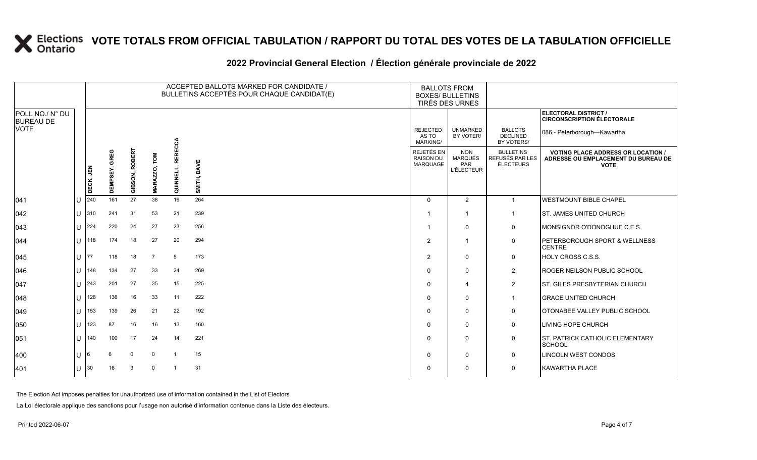#### **2022 Provincial General Election / Élection générale provinciale de 2022**

|                                     |     |           |                  |                       |                |                             | ACCEPTED BALLOTS MARKED FOR CANDIDATE /<br>BULLETINS ACCEPTÉS POUR CHAQUE CANDIDAT(E) | <b>BALLOTS FROM</b><br><b>BOXES/ BULLETINS</b><br>TIRÉS DES URNES |                                                          |                                                         |                                                                                                 |
|-------------------------------------|-----|-----------|------------------|-----------------------|----------------|-----------------------------|---------------------------------------------------------------------------------------|-------------------------------------------------------------------|----------------------------------------------------------|---------------------------------------------------------|-------------------------------------------------------------------------------------------------|
| POLL NO./ N° DU<br><b>BUREAU DE</b> |     |           |                  |                       |                |                             |                                                                                       |                                                                   |                                                          |                                                         | ELECTORAL DISTRICT /<br><b>CIRCONSCRIPTION ÉLECTORALE</b>                                       |
| <b>VOTE</b>                         |     |           |                  |                       |                |                             |                                                                                       | <b>REJECTED</b><br>AS TO<br><b>MARKING/</b>                       | <b>UNMARKED</b><br>BY VOTER/                             | <b>BALLOTS</b><br><b>DECLINED</b><br>BY VOTERS/         | 086 - Peterborough-Kawartha                                                                     |
|                                     |     | DECK, JEN | GREG<br>DEMPSEY, | <b>GIBSON, ROBERT</b> | MARAZZO, TOM   | <b>REBECCA</b><br>QUINNELL, | SMITH, DAVE                                                                           | REJETÉS EN<br><b>RAISON DU</b><br>MARQUAGE                        | <b>NON</b><br><b>MARQUÉS</b><br>PAR<br><b>L'ÉLECTEUR</b> | <b>BULLETINS</b><br>REFUSÉS PAR LES<br><b>ÉLECTEURS</b> | <b>VOTING PLACE ADDRESS OR LOCATION /</b><br>ADRESSE OU EMPLACEMENT DU BUREAU DE<br><b>VOTE</b> |
| 041                                 | lu  | 240       | 161              | 27                    | 38             | 19                          | 264                                                                                   | $\Omega$                                                          | 2                                                        | $\mathbf{1}$                                            | <b>WESTMOUNT BIBLE CHAPEL</b>                                                                   |
| 042                                 | Iυ. | 310       | 241              | 31                    | 53             | 21                          | 239                                                                                   |                                                                   |                                                          | $\overline{1}$                                          | <b>ST. JAMES UNITED CHURCH</b>                                                                  |
| 043                                 | Iυ. | 224       | 220              | 24                    | 27             | 23                          | 256                                                                                   |                                                                   | $\mathbf 0$                                              | $\mathbf 0$                                             | MONSIGNOR O'DONOGHUE C.E.S.                                                                     |
| $ 044\rangle$                       | lu  | 118       | 174              | 18                    | 27             | 20                          | 294                                                                                   | $\overline{2}$                                                    | $\overline{\mathbf{1}}$                                  | 0                                                       | PETERBOROUGH SPORT & WELLNESS<br><b>CENTRE</b>                                                  |
| 045                                 | lu  | 77        | 118              | 18                    | $\overline{7}$ | 5                           | 173                                                                                   | 2                                                                 | $\mathbf 0$                                              | $\mathbf 0$                                             | <b>HOLY CROSS C.S.S.</b>                                                                        |
| 046                                 | lu  | 148       | 134              | 27                    | 33             | 24                          | 269                                                                                   | $\Omega$                                                          | $\mathbf 0$                                              | $\overline{2}$                                          | <b>ROGER NEILSON PUBLIC SCHOOL</b>                                                              |
| 047                                 | lu  | 243       | 201              | 27                    | 35             | 15                          | 225                                                                                   | $\Omega$                                                          | $\overline{4}$                                           | $\overline{2}$                                          | <b>ST. GILES PRESBYTERIAN CHURCH</b>                                                            |
| 048                                 | lu  | 128       | 136              | 16                    | 33             | 11                          | 222                                                                                   |                                                                   | $\mathbf 0$                                              | $\mathbf{1}$                                            | <b>GRACE UNITED CHURCH</b>                                                                      |
| 049                                 | lu  | 153       | 139              | 26                    | 21             | 22                          | 192                                                                                   | $\Omega$                                                          | $\mathbf 0$                                              | $\mathbf 0$                                             | OTONABEE VALLEY PUBLIC SCHOOL                                                                   |
| 050                                 | lu  | 123       | 87               | 16                    | 16             | 13                          | 160                                                                                   | $\Omega$                                                          | $\mathbf 0$                                              | $\mathbf 0$                                             | <b>LIVING HOPE CHURCH</b>                                                                       |
| 051                                 | lu  | 140       | 100              | 17                    | 24             | 14                          | 221                                                                                   | 0                                                                 | $\mathbf 0$                                              | $\mathbf 0$                                             | ST. PATRICK CATHOLIC ELEMENTARY<br>SCHOOL                                                       |
| 400                                 | Iυ  | 6         | 6                | $\mathbf 0$           | $\mathbf 0$    | $\overline{1}$              | 15                                                                                    | $\Omega$                                                          | $\mathbf 0$                                              | 0                                                       | <b>LINCOLN WEST CONDOS</b>                                                                      |
| 401                                 | lU  | 30        | 16               | 3                     | $\Omega$       | $\overline{\mathbf{1}}$     | 31                                                                                    | O                                                                 | $\mathbf 0$                                              | $\mathbf 0$                                             | <b>KAWARTHA PLACE</b>                                                                           |

The Election Act imposes penalties for unauthorized use of information contained in the List of Electors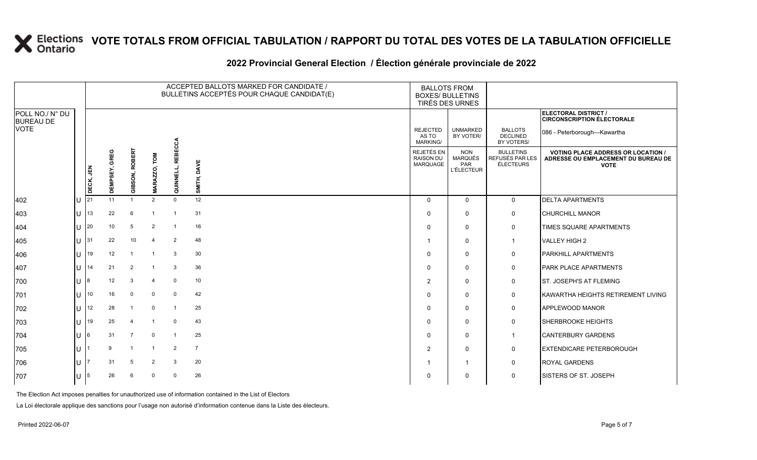#### **2022 Provincial General Election / Élection générale provinciale de 2022**

|                                     |     |           |                  |                |                |                   | ACCEPTED BALLOTS MARKED FOR CANDIDATE /<br>BULLETINS ACCEPTÉS POUR CHAQUE CANDIDAT(E) | <b>BALLOTS FROM</b><br><b>BOXES/ BULLETINS</b><br>TIRÉS DES URNES |                                                          |                                                  |                                                                                                 |
|-------------------------------------|-----|-----------|------------------|----------------|----------------|-------------------|---------------------------------------------------------------------------------------|-------------------------------------------------------------------|----------------------------------------------------------|--------------------------------------------------|-------------------------------------------------------------------------------------------------|
| POLL NO./ N° DU<br><b>BUREAU DE</b> |     |           |                  |                |                |                   |                                                                                       |                                                                   |                                                          |                                                  | ELECTORAL DISTRICT /<br><b>CIRCONSCRIPTION ÉLECTORALE</b>                                       |
| <b>VOTE</b>                         |     |           |                  |                |                | ΩQ                |                                                                                       | <b>REJECTED</b><br>AS TO<br><b>MARKING/</b>                       | <b>UNMARKED</b><br>BY VOTER/                             | <b>BALLOTS</b><br><b>DECLINED</b><br>BY VOTERS/  | 086 - Peterborough-Kawartha                                                                     |
|                                     |     | DECK, JEN | GREG<br>DEMPSEY, | GIBSON, ROBERT | ₹<br>MARAZZO,  | ᆱ<br>핉<br>QUINNEL | SMITH, DAVE                                                                           | REJETÉS EN<br><b>RAISON DU</b><br><b>MARQUAGE</b>                 | <b>NON</b><br><b>MARQUÉS</b><br>PAR<br><b>L'ÉLECTEUR</b> | <b>BULLETINS</b><br>REFUSÉS PAR LES<br>ÉLECTEURS | <b>VOTING PLACE ADDRESS OR LOCATION /</b><br>ADRESSE OU EMPLACEMENT DU BUREAU DE<br><b>VOTE</b> |
| 402                                 | IU  | 21        | 11               | $\overline{1}$ | $\overline{2}$ | $\mathbf 0$       | 12                                                                                    | $\Omega$                                                          | $\mathbf{0}$                                             | $\overline{0}$                                   | <b>DELTA APARTMENTS</b>                                                                         |
| 403                                 | IU. | 13        | 22               | 6              | -1             | $\overline{1}$    | 31                                                                                    | $\Omega$                                                          | $\Omega$                                                 | 0                                                | <b>CHURCHILL MANOR</b>                                                                          |
| 404                                 | ΙU  | 20        | 10               | 5              | $\overline{2}$ | $\overline{1}$    | 16                                                                                    | $\Omega$                                                          | $\mathbf{0}$                                             | 0                                                | TIMES SQUARE APARTMENTS                                                                         |
| 405                                 | lU. | 31        | 22               | 10             | $\overline{4}$ | $\overline{2}$    | 48                                                                                    |                                                                   | $\Omega$                                                 | $\mathbf{1}$                                     | VALLEY HIGH 2                                                                                   |
| 406                                 | ΙU  | 19        | 12               | $\overline{1}$ | $\overline{1}$ | 3                 | 30                                                                                    | $\Omega$                                                          | $\Omega$                                                 | 0                                                | <b>PARKHILL APARTMENTS</b>                                                                      |
| 407                                 | lυ  | 14        | 21               | 2              |                | 3                 | 36                                                                                    | $\Omega$                                                          | $\Omega$                                                 | 0                                                | <b>PARK PLACE APARTMENTS</b>                                                                    |
| 700                                 | ΙU  | 8         | 12               | 3              | $\overline{4}$ | $\mathbf 0$       | 10                                                                                    | $\overline{2}$                                                    | $\mathbf{0}$                                             | $\mathbf 0$                                      | <b>ST. JOSEPH'S AT FLEMING</b>                                                                  |
| 701                                 | Ш   | 10        | 16               | $\mathbf 0$    | $\mathbf 0$    | $\mathbf 0$       | 42                                                                                    | $\Omega$                                                          | $\Omega$                                                 | 0                                                | KAWARTHA HEIGHTS RETIREMENT LIVING                                                              |
| 702                                 | ΙU  | 12        | 28               | $\overline{1}$ | $\mathbf 0$    | $\overline{1}$    | 25                                                                                    | $\Omega$                                                          | $\Omega$                                                 | $\mathbf 0$                                      | APPLEWOOD MANOR                                                                                 |
| 703                                 | ΙU  | 19        | 25               | $\overline{4}$ | $\overline{1}$ | $\mathbf 0$       | 43                                                                                    | $\Omega$                                                          | $\mathbf{0}$                                             | 0                                                | <b>SHERBROOKE HEIGHTS</b>                                                                       |
| 704                                 | lU  | 6         | 31               | $\overline{7}$ | $\mathbf 0$    | $\overline{1}$    | 25                                                                                    | $\Omega$                                                          | $\mathbf{0}$                                             | $\mathbf{1}$                                     | <b>CANTERBURY GARDENS</b>                                                                       |
| 705                                 | lU. |           | 9                | $\overline{1}$ |                | $\overline{2}$    | $\overline{7}$                                                                        | 2                                                                 | $\Omega$                                                 | $\mathbf 0$                                      | <b>EXTENDICARE PETERBOROUGH</b>                                                                 |
| 706                                 | lU  |           | 31               | 5              | $\overline{2}$ | 3                 | 20                                                                                    |                                                                   | $\mathbf 1$                                              | $\mathbf 0$                                      | <b>ROYAL GARDENS</b>                                                                            |
| 707                                 | IU. | 15        | 26               | 6              | $\overline{0}$ | $\mathbf 0$       | 26                                                                                    | $\Omega$                                                          | $\Omega$                                                 | 0                                                | <b>SISTERS OF ST. JOSEPH</b>                                                                    |

The Election Act imposes penalties for unauthorized use of information contained in the List of Electors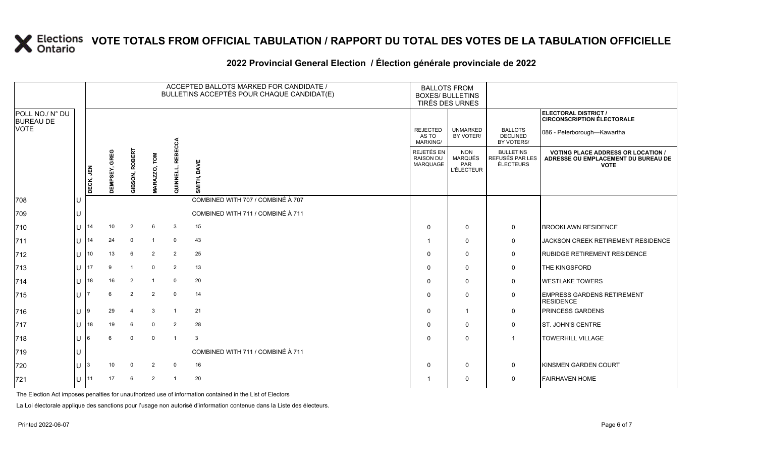### **2022 Provincial General Election / Élection générale provinciale de 2022**

|                                     |     |           |                         |                       |                        |                   | ACCEPTED BALLOTS MARKED FOR CANDIDATE /<br>BULLETINS ACCEPTÉS POUR CHAQUE CANDIDAT(E) |                                            | <b>BALLOTS FROM</b><br><b>BOXES/ BULLETINS</b><br>TIRÉS DES URNES |                                                         |                                                                                                 |
|-------------------------------------|-----|-----------|-------------------------|-----------------------|------------------------|-------------------|---------------------------------------------------------------------------------------|--------------------------------------------|-------------------------------------------------------------------|---------------------------------------------------------|-------------------------------------------------------------------------------------------------|
| POLL NO./ N° DU<br><b>BUREAU DE</b> |     |           |                         |                       |                        |                   |                                                                                       |                                            |                                                                   |                                                         | <b>ELECTORAL DISTRICT /</b><br><b>CIRCONSCRIPTION ÉLECTORALE</b>                                |
| <b>VOTE</b>                         |     |           |                         |                       |                        |                   |                                                                                       | <b>REJECTED</b><br>AS TO<br>MARKING/       | <b>UNMARKED</b><br>BY VOTER/                                      | <b>BALLOTS</b><br><b>DECLINED</b><br>BY VOTERS/         | 086 - Peterborough-Kawartha                                                                     |
|                                     |     | DECK, JEN | GREG<br><b>DEMPSEY,</b> | <b>GIBSON, ROBERT</b> | <b>NOL</b><br>MARAZZO, | QUINNELL, REBECCA | DAVE<br>SMITH,                                                                        | REJETÉS EN<br><b>RAISON DU</b><br>MARQUAGE | <b>NON</b><br>MARQUÉS<br>PAR<br><b>L'ÉLECTEUR</b>                 | <b>BULLETINS</b><br>REFUSÉS PAR LES<br><b>ÉLECTEURS</b> | <b>VOTING PLACE ADDRESS OR LOCATION /</b><br>ADRESSE OU EMPLACEMENT DU BUREAU DE<br><b>VOTE</b> |
| 708                                 |     |           |                         |                       |                        |                   | COMBINED WITH 707 / COMBINÉ À 707                                                     |                                            |                                                                   |                                                         |                                                                                                 |
| 709                                 | IU  |           |                         |                       |                        |                   | COMBINED WITH 711 / COMBINÉ À 711                                                     |                                            |                                                                   |                                                         |                                                                                                 |
| 710                                 | lu  | 14        | 10                      | 2                     | 6                      | 3                 | 15                                                                                    | $\Omega$                                   | $\mathbf 0$                                                       | $\mathbf 0$                                             | <b>BROOKLAWN RESIDENCE</b>                                                                      |
| 711                                 | lul | 14        | 24                      | $\mathbf 0$           | $\overline{1}$         | $\mathbf 0$       | 43                                                                                    |                                            | 0                                                                 | 0                                                       | JACKSON CREEK RETIREMENT RESIDENCE                                                              |
| 712                                 | lu  | 10        | 13                      | 6                     | 2                      | 2                 | 25                                                                                    | $\Omega$                                   | 0                                                                 | 0                                                       | <b>RUBIDGE RETIREMENT RESIDENCE</b>                                                             |
| 713                                 | lu  | 17        | 9                       |                       | $\mathbf 0$            | $\overline{2}$    | 13                                                                                    | $\Omega$                                   | $\mathbf 0$                                                       | 0                                                       | THE KINGSFORD                                                                                   |
| 714                                 | lU  | 18        | 16                      | 2                     | -1                     | $\mathbf 0$       | 20                                                                                    |                                            | $\mathbf 0$                                                       | $\mathbf 0$                                             | <b>WESTLAKE TOWERS</b>                                                                          |
| 715                                 | lu  |           | 6                       | 2                     | 2                      | $\mathbf 0$       | 14                                                                                    | <sup>0</sup>                               | $\mathbf 0$                                                       | 0                                                       | <b>EMPRESS GARDENS RETIREMENT</b><br><b>RESIDENCE</b>                                           |
| 716                                 | lu  |           | 29                      |                       | 3                      | $\overline{1}$    | 21                                                                                    | $\Omega$                                   | 1                                                                 | 0                                                       | <b>PRINCESS GARDENS</b>                                                                         |
| 717                                 | lu  | 18        | 19                      | 6                     | $\mathbf 0$            | 2                 | 28                                                                                    | 0                                          | $\mathbf 0$                                                       | 0                                                       | <b>ST. JOHN'S CENTRE</b>                                                                        |
| 718                                 | lu  | 6         | 6                       | $\mathbf 0$           | $\mathbf 0$            | $\overline{1}$    | 3                                                                                     |                                            | $\mathbf 0$                                                       | $\overline{1}$                                          | <b>TOWERHILL VILLAGE</b>                                                                        |
| 719                                 | lU  |           |                         |                       |                        |                   | COMBINED WITH 711 / COMBINÉ À 711                                                     |                                            |                                                                   |                                                         |                                                                                                 |
| 720                                 | Iυ  | 3         | 10                      | $\Omega$              | 2                      | 0                 | 16                                                                                    |                                            | 0                                                                 | 0                                                       | <b>KINSMEN GARDEN COURT</b>                                                                     |
| 721                                 | 11  |           | 17                      | 6                     | 2                      | $\overline{1}$    | 20                                                                                    |                                            | 0                                                                 | 0                                                       | <b>FAIRHAVEN HOME</b>                                                                           |

The Election Act imposes penalties for unauthorized use of information contained in the List of Electors